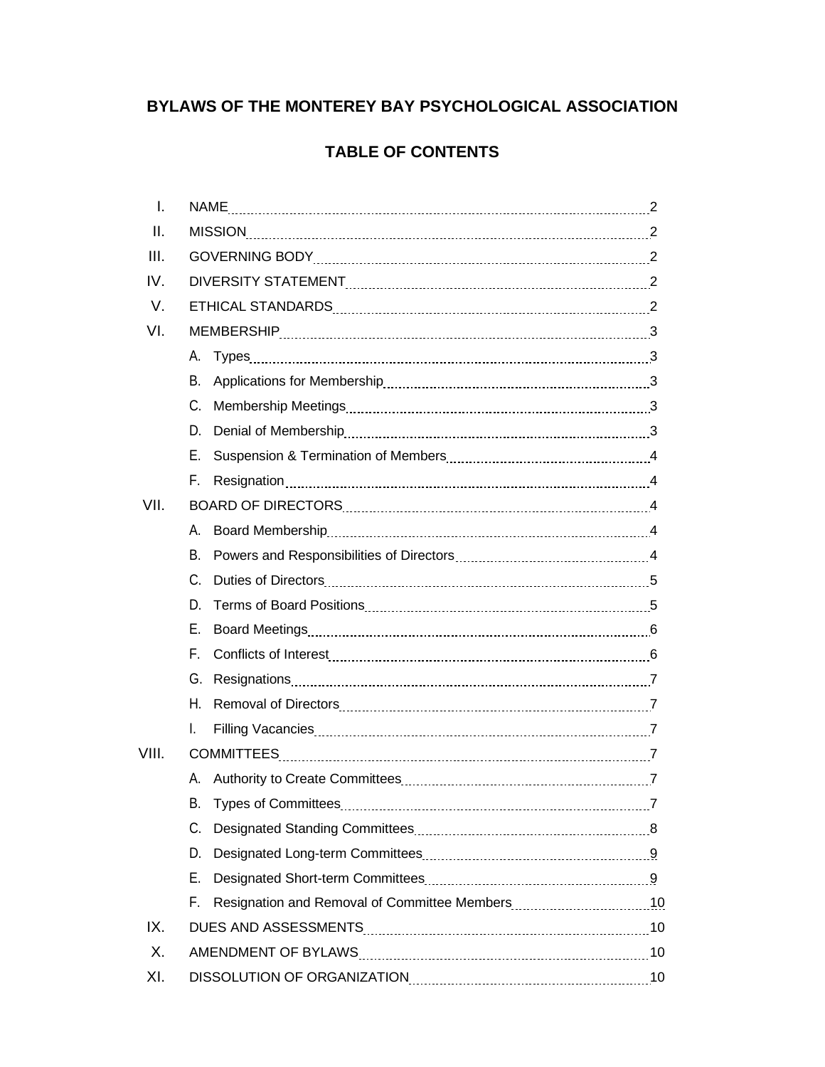# **BYLAWS OF THE MONTEREY BAY PSYCHOLOGICAL ASSOCIATION**

# **TABLE OF CONTENTS**

| $\mathbf{L}$ |                                                                                                               |  |
|--------------|---------------------------------------------------------------------------------------------------------------|--|
| II.          |                                                                                                               |  |
| III.         |                                                                                                               |  |
| IV.          |                                                                                                               |  |
| V.           |                                                                                                               |  |
| VI.          |                                                                                                               |  |
|              |                                                                                                               |  |
|              | В.                                                                                                            |  |
|              | C.                                                                                                            |  |
|              | D.                                                                                                            |  |
|              | Е.                                                                                                            |  |
|              | F.                                                                                                            |  |
| VII.         |                                                                                                               |  |
|              | Α.                                                                                                            |  |
|              | В.                                                                                                            |  |
|              | C.                                                                                                            |  |
|              | D.                                                                                                            |  |
|              | Е.                                                                                                            |  |
|              | F.                                                                                                            |  |
|              | G.                                                                                                            |  |
|              | Η.                                                                                                            |  |
|              | L.                                                                                                            |  |
| VIII.        |                                                                                                               |  |
|              | А.                                                                                                            |  |
|              | R.                                                                                                            |  |
|              | C.                                                                                                            |  |
|              | D.                                                                                                            |  |
|              | Е.                                                                                                            |  |
|              | F.                                                                                                            |  |
| IX.          |                                                                                                               |  |
| Χ.           |                                                                                                               |  |
| XI.          | DISSOLUTION OF ORGANIZATION MARKET MARKET AND THE METAL METAL METAL METAL METAL METAL METAL METAL METAL METAL |  |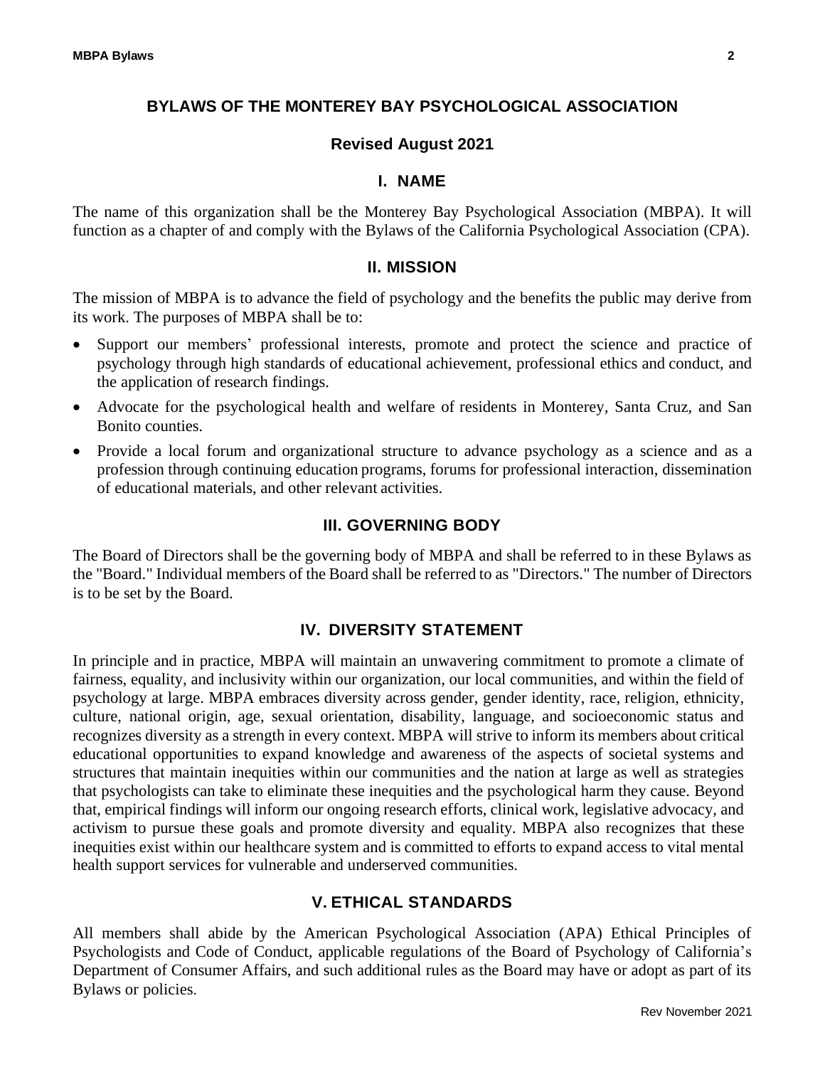## **BYLAWS OF THE MONTEREY BAY PSYCHOLOGICAL ASSOCIATION**

## **Revised August 2021**

## **I. NAME**

The name of this organization shall be the Monterey Bay Psychological Association (MBPA). It will function as a chapter of and comply with the Bylaws of the California Psychological Association (CPA).

## **II. MISSION**

The mission of MBPA is to advance the field of psychology and the benefits the public may derive from its work. The purposes of MBPA shall be to:

- Support our members' professional interests, promote and protect the science and practice of psychology through high standards of educational achievement, professional ethics and conduct, and the application of research findings.
- Advocate for the psychological health and welfare of residents in Monterey, Santa Cruz, and San Bonito counties.
- Provide a local forum and organizational structure to advance psychology as a science and as a profession through continuing education programs, forums for professional interaction, dissemination of educational materials, and other relevant activities.

## **III. GOVERNING BODY**

The Board of Directors shall be the governing body of MBPA and shall be referred to in these Bylaws as the "Board." Individual members of the Board shall be referred to as "Directors." The number of Directors is to be set by the Board.

## **IV. DIVERSITY STATEMENT**

In principle and in practice, MBPA will maintain an unwavering commitment to promote a climate of fairness, equality, and inclusivity within our organization, our local communities, and within the field of psychology at large. MBPA embraces diversity across gender, gender identity, race, religion, ethnicity, culture, national origin, age, sexual orientation, disability, language, and socioeconomic status and recognizes diversity as a strength in every context. MBPA will strive to inform its members about critical educational opportunities to expand knowledge and awareness of the aspects of societal systems and structures that maintain inequities within our communities and the nation at large as well as strategies that psychologists can take to eliminate these inequities and the psychological harm they cause. Beyond that, empirical findings will inform our ongoing research efforts, clinical work, legislative advocacy, and activism to pursue these goals and promote diversity and equality. MBPA also recognizes that these inequities exist within our healthcare system and is committed to efforts to expand access to vital mental health support services for vulnerable and underserved communities.

## **V. ETHICAL STANDARDS**

All members shall abide by the American Psychological Association (APA) Ethical Principles of Psychologists and Code of Conduct, applicable regulations of the Board of Psychology of California's Department of Consumer Affairs, and such additional rules as the Board may have or adopt as part of its Bylaws or policies.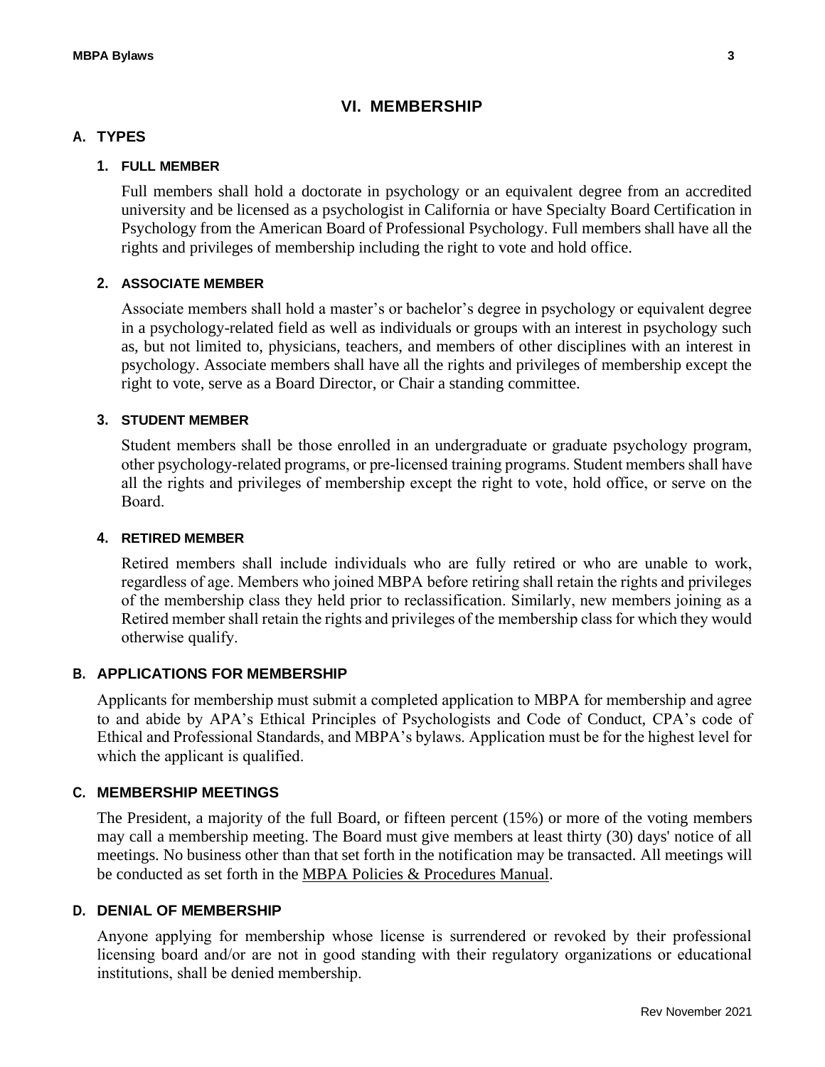## **VI. MEMBERSHIP**

#### **A. TYPES**

#### **1. FULL MEMBER**

Full members shall hold a doctorate in psychology or an equivalent degree from an accredited university and be licensed as a psychologist in California or have Specialty Board Certification in Psychology from the American Board of Professional Psychology. Full members shall have all the rights and privileges of membership including the right to vote and hold office.

## **2. ASSOCIATE MEMBER**

Associate members shall hold a master's or bachelor's degree in psychology or equivalent degree in a psychology-related field as well as individuals or groups with an interest in psychology such as, but not limited to, physicians, teachers, and members of other disciplines with an interest in psychology. Associate members shall have all the rights and privileges of membership except the right to vote, serve as a Board Director, or Chair a standing committee.

## **3. STUDENT MEMBER**

Student members shall be those enrolled in an undergraduate or graduate psychology program, other psychology-related programs, or pre-licensed training programs. Student members shall have all the rights and privileges of membership except the right to vote, hold office, or serve on the Board.

#### **4. RETIRED MEMBER**

Retired members shall include individuals who are fully retired or who are unable to work, regardless of age. Members who joined MBPA before retiring shall retain the rights and privileges of the membership class they held prior to reclassification. Similarly, new members joining as a Retired member shall retain the rights and privileges of the membership class for which they would otherwise qualify.

## **B. APPLICATIONS FOR MEMBERSHIP**

Applicants for membership must submit a completed application to MBPA for membership and agree to and abide by APA's Ethical Principles of Psychologists and Code of Conduct, CPA's code of Ethical and Professional Standards, and MBPA's bylaws. Application must be for the highest level for which the applicant is qualified.

## **C. MEMBERSHIP MEETINGS**

The President, a majority of the full Board, or fifteen percent (15%) or more of the voting members may call a membership meeting. The Board must give members at least thirty (30) days' notice of all meetings. No business other than that set forth in the notification may be transacted. All meetings will be conducted as set forth in the MBPA Policies & Procedures Manual.

#### **D. DENIAL OF MEMBERSHIP**

Anyone applying for membership whose license is surrendered or revoked by their professional licensing board and/or are not in good standing with their regulatory organizations or educational institutions, shall be denied membership.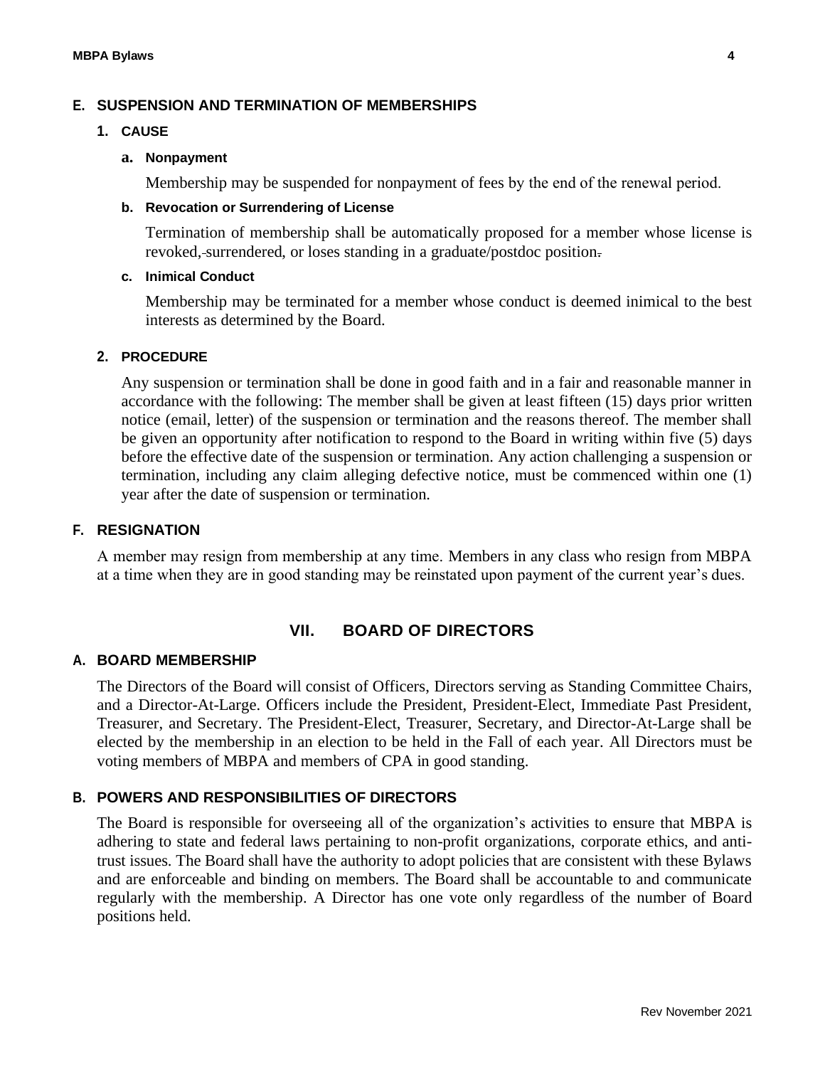## **E. SUSPENSION AND TERMINATION OF MEMBERSHIPS**

#### **1. CAUSE**

#### **a. Nonpayment**

Membership may be suspended for nonpayment of fees by the end of the renewal period.

### **b. Revocation or Surrendering of License**

Termination of membership shall be automatically proposed for a member whose license is revoked,-surrendered, or loses standing in a graduate/postdoc position.

#### **c. Inimical Conduct**

Membership may be terminated for a member whose conduct is deemed inimical to the best interests as determined by the Board.

## **2. PROCEDURE**

Any suspension or termination shall be done in good faith and in a fair and reasonable manner in accordance with the following: The member shall be given at least fifteen (15) days prior written notice (email, letter) of the suspension or termination and the reasons thereof. The member shall be given an opportunity after notification to respond to the Board in writing within five (5) days before the effective date of the suspension or termination. Any action challenging a suspension or termination, including any claim alleging defective notice, must be commenced within one (1) year after the date of suspension or termination.

## **F. RESIGNATION**

A member may resign from membership at any time. Members in any class who resign from MBPA at a time when they are in good standing may be reinstated upon payment of the current year's dues.

## **VII. BOARD OF DIRECTORS**

#### **A. BOARD MEMBERSHIP**

The Directors of the Board will consist of Officers, Directors serving as Standing Committee Chairs, and a Director-At-Large. Officers include the President, President-Elect, Immediate Past President, Treasurer, and Secretary. The President-Elect, Treasurer, Secretary, and Director-At-Large shall be elected by the membership in an election to be held in the Fall of each year. All Directors must be voting members of MBPA and members of CPA in good standing.

## **B. POWERS AND RESPONSIBILITIES OF DIRECTORS**

The Board is responsible for overseeing all of the organization's activities to ensure that MBPA is adhering to state and federal laws pertaining to non-profit organizations, corporate ethics, and antitrust issues. The Board shall have the authority to adopt policies that are consistent with these Bylaws and are enforceable and binding on members. The Board shall be accountable to and communicate regularly with the membership. A Director has one vote only regardless of the number of Board positions held.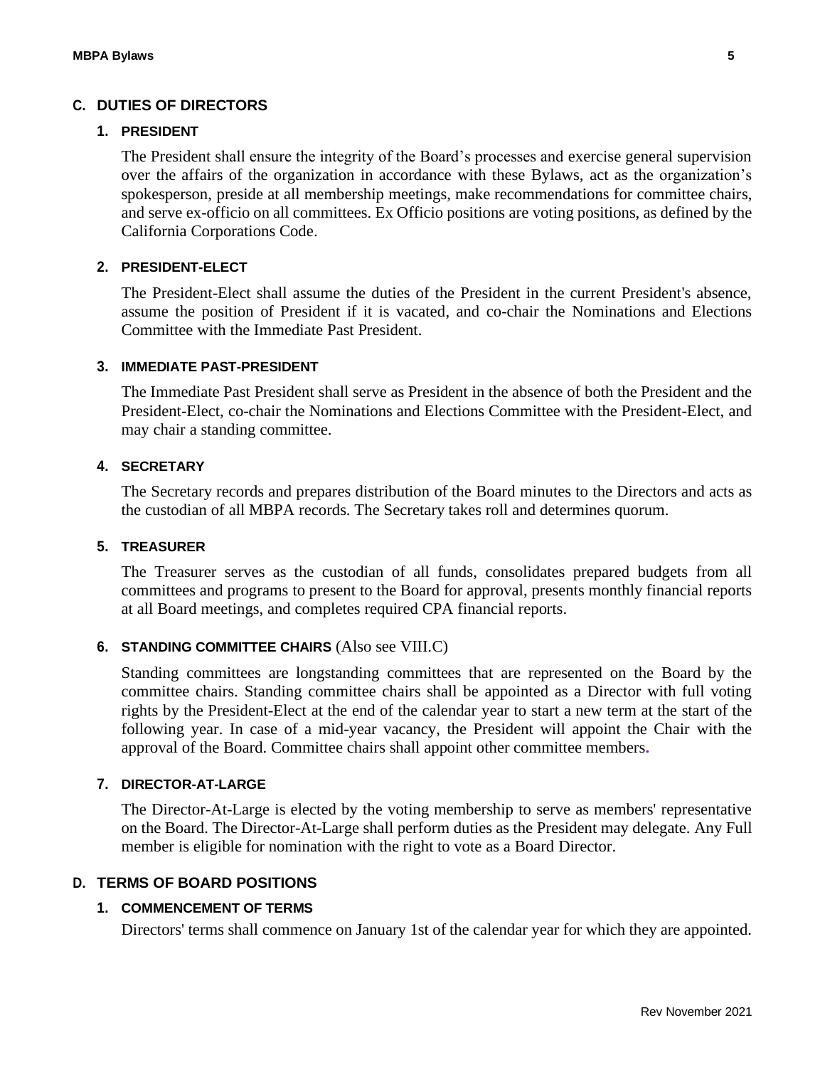### **C. DUTIES OF DIRECTORS**

#### **1. PRESIDENT**

The President shall ensure the integrity of the Board's processes and exercise general supervision over the affairs of the organization in accordance with these Bylaws, act as the organization's spokesperson, preside at all membership meetings, make recommendations for committee chairs, and serve ex-officio on all committees. Ex Officio positions are voting positions, as defined by the California Corporations Code.

## **2. PRESIDENT-ELECT**

The President-Elect shall assume the duties of the President in the current President's absence, assume the position of President if it is vacated, and co-chair the Nominations and Elections Committee with the Immediate Past President.

#### **3. IMMEDIATE PAST-PRESIDENT**

The Immediate Past President shall serve as President in the absence of both the President and the President-Elect, co-chair the Nominations and Elections Committee with the President-Elect, and may chair a standing committee.

## **4. SECRETARY**

The Secretary records and prepares distribution of the Board minutes to the Directors and acts as the custodian of all MBPA records. The Secretary takes roll and determines quorum.

### **5. TREASURER**

The Treasurer serves as the custodian of all funds, consolidates prepared budgets from all committees and programs to present to the Board for approval, presents monthly financial reports at all Board meetings, and completes required CPA financial reports.

#### **6. STANDING COMMITTEE CHAIRS** (Also see VIII.C)

Standing committees are longstanding committees that are represented on the Board by the committee chairs. Standing committee chairs shall be appointed as a Director with full voting rights by the President-Elect at the end of the calendar year to start a new term at the start of the following year. In case of a mid-year vacancy, the President will appoint the Chair with the approval of the Board. Committee chairs shall appoint other committee members**.**

#### **7. DIRECTOR-AT-LARGE**

The Director-At-Large is elected by the voting membership to serve as members' representative on the Board. The Director-At-Large shall perform duties as the President may delegate. Any Full member is eligible for nomination with the right to vote as a Board Director.

#### **D. TERMS OF BOARD POSITIONS**

#### **1. COMMENCEMENT OF TERMS**

Directors' terms shall commence on January 1st of the calendar year for which they are appointed.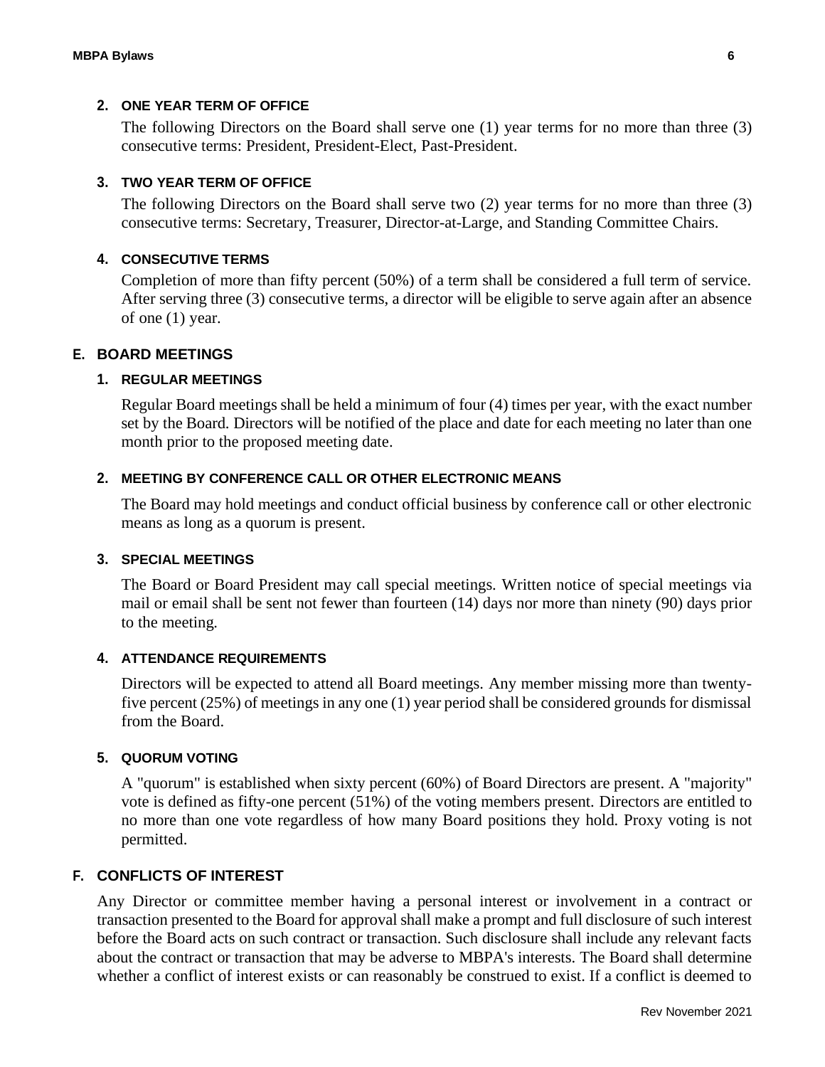#### **2. ONE YEAR TERM OF OFFICE**

The following Directors on the Board shall serve one (1) year terms for no more than three (3) consecutive terms: President, President-Elect, Past-President.

#### **3. TWO YEAR TERM OF OFFICE**

The following Directors on the Board shall serve two (2) year terms for no more than three (3) consecutive terms: Secretary, Treasurer, Director-at-Large, and Standing Committee Chairs.

#### **4. CONSECUTIVE TERMS**

Completion of more than fifty percent (50%) of a term shall be considered a full term of service. After serving three (3) consecutive terms, a director will be eligible to serve again after an absence of one (1) year.

#### **E. BOARD MEETINGS**

#### **1. REGULAR MEETINGS**

Regular Board meetings shall be held a minimum of four (4) times per year, with the exact number set by the Board. Directors will be notified of the place and date for each meeting no later than one month prior to the proposed meeting date.

#### **2. MEETING BY CONFERENCE CALL OR OTHER ELECTRONIC MEANS**

The Board may hold meetings and conduct official business by conference call or other electronic means as long as a quorum is present.

#### **3. SPECIAL MEETINGS**

The Board or Board President may call special meetings. Written notice of special meetings via mail or email shall be sent not fewer than fourteen (14) days nor more than ninety (90) days prior to the meeting.

#### **4. ATTENDANCE REQUIREMENTS**

Directors will be expected to attend all Board meetings. Any member missing more than twentyfive percent (25%) of meetings in any one (1) year period shall be considered grounds for dismissal from the Board.

#### **5. QUORUM VOTING**

A "quorum" is established when sixty percent (60%) of Board Directors are present. A "majority" vote is defined as fifty-one percent (51%) of the voting members present. Directors are entitled to no more than one vote regardless of how many Board positions they hold. Proxy voting is not permitted.

#### **F. CONFLICTS OF INTEREST**

Any Director or committee member having a personal interest or involvement in a contract or transaction presented to the Board for approval shall make a prompt and full disclosure of such interest before the Board acts on such contract or transaction. Such disclosure shall include any relevant facts about the contract or transaction that may be adverse to MBPA's interests. The Board shall determine whether a conflict of interest exists or can reasonably be construed to exist. If a conflict is deemed to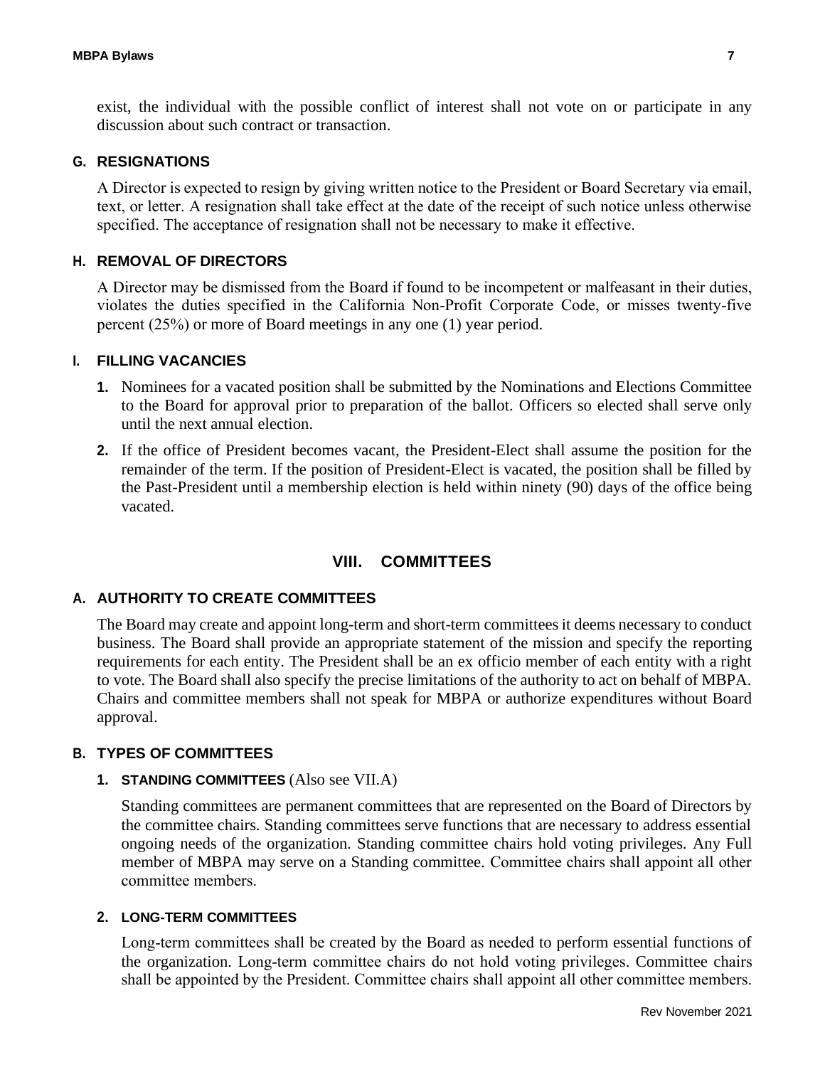exist, the individual with the possible conflict of interest shall not vote on or participate in any discussion about such contract or transaction.

#### **G. RESIGNATIONS**

A Director is expected to resign by giving written notice to the President or Board Secretary via email, text, or letter. A resignation shall take effect at the date of the receipt of such notice unless otherwise specified. The acceptance of resignation shall not be necessary to make it effective.

#### **H. REMOVAL OF DIRECTORS**

A Director may be dismissed from the Board if found to be incompetent or malfeasant in their duties, violates the duties specified in the California Non-Profit Corporate Code, or misses twenty-five percent (25%) or more of Board meetings in any one (1) year period.

#### **I. FILLING VACANCIES**

- **1.** Nominees for a vacated position shall be submitted by the Nominations and Elections Committee to the Board for approval prior to preparation of the ballot. Officers so elected shall serve only until the next annual election.
- **2.** If the office of President becomes vacant, the President-Elect shall assume the position for the remainder of the term. If the position of President-Elect is vacated, the position shall be filled by the Past-President until a membership election is held within ninety (90) days of the office being vacated.

### **VIII. COMMITTEES**

#### **A. AUTHORITY TO CREATE COMMITTEES**

The Board may create and appoint long-term and short-term committees it deems necessary to conduct business. The Board shall provide an appropriate statement of the mission and specify the reporting requirements for each entity. The President shall be an ex officio member of each entity with a right to vote. The Board shall also specify the precise limitations of the authority to act on behalf of MBPA. Chairs and committee members shall not speak for MBPA or authorize expenditures without Board approval.

#### **B. TYPES OF COMMITTEES**

### **1. STANDING COMMITTEES** (Also see VII.A)

Standing committees are permanent committees that are represented on the Board of Directors by the committee chairs. Standing committees serve functions that are necessary to address essential ongoing needs of the organization. Standing committee chairs hold voting privileges. Any Full member of MBPA may serve on a Standing committee. Committee chairs shall appoint all other committee members.

#### **2. LONG-TERM COMMITTEES**

Long-term committees shall be created by the Board as needed to perform essential functions of the organization. Long-term committee chairs do not hold voting privileges. Committee chairs shall be appointed by the President. Committee chairs shall appoint all other committee members.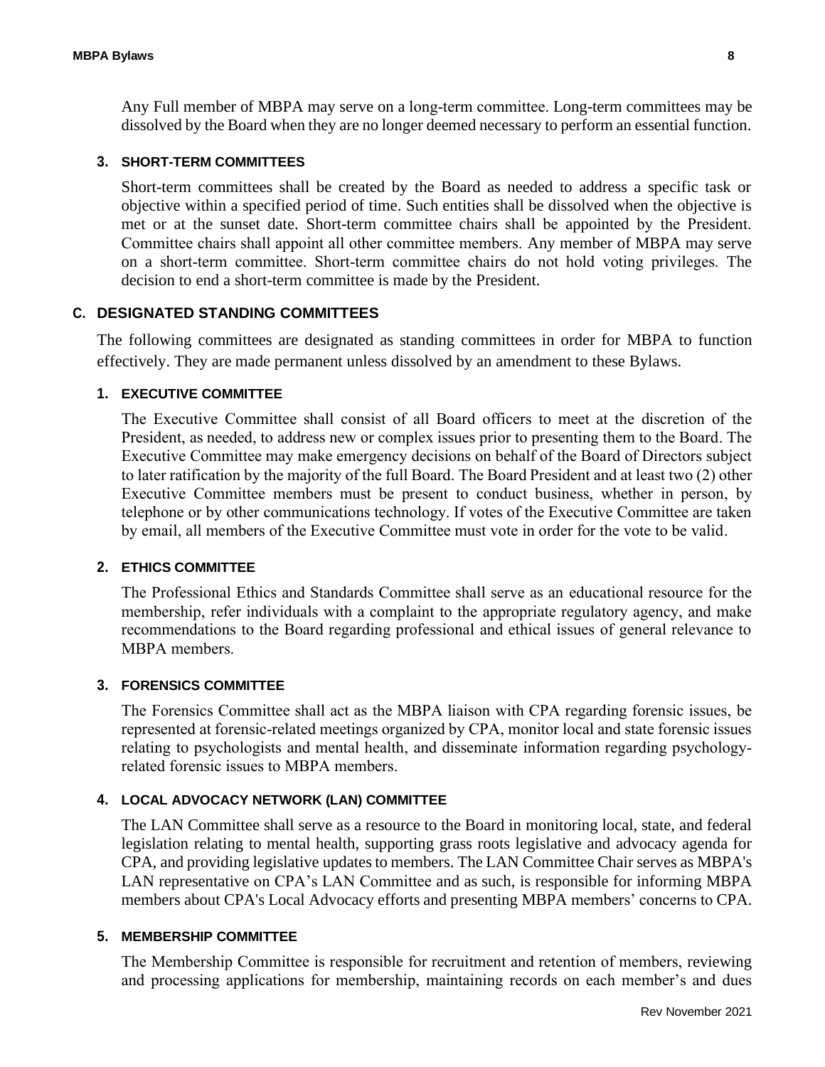Any Full member of MBPA may serve on a long-term committee. Long-term committees may be dissolved by the Board when they are no longer deemed necessary to perform an essential function.

#### **3. SHORT-TERM COMMITTEES**

Short-term committees shall be created by the Board as needed to address a specific task or objective within a specified period of time. Such entities shall be dissolved when the objective is met or at the sunset date. Short-term committee chairs shall be appointed by the President. Committee chairs shall appoint all other committee members. Any member of MBPA may serve on a short-term committee. Short-term committee chairs do not hold voting privileges. The decision to end a short-term committee is made by the President.

#### **C. DESIGNATED STANDING COMMITTEES**

The following committees are designated as standing committees in order for MBPA to function effectively. They are made permanent unless dissolved by an amendment to these Bylaws.

#### **1. EXECUTIVE COMMITTEE**

The Executive Committee shall consist of all Board officers to meet at the discretion of the President, as needed, to address new or complex issues prior to presenting them to the Board. The Executive Committee may make emergency decisions on behalf of the Board of Directors subject to later ratification by the majority of the full Board. The Board President and at least two (2) other Executive Committee members must be present to conduct business, whether in person, by telephone or by other communications technology. If votes of the Executive Committee are taken by email, all members of the Executive Committee must vote in order for the vote to be valid.

#### **2. ETHICS COMMITTEE**

The Professional Ethics and Standards Committee shall serve as an educational resource for the membership, refer individuals with a complaint to the appropriate regulatory agency, and make recommendations to the Board regarding professional and ethical issues of general relevance to MBPA members.

#### **3. FORENSICS COMMITTEE**

The Forensics Committee shall act as the MBPA liaison with CPA regarding forensic issues, be represented at forensic-related meetings organized by CPA, monitor local and state forensic issues relating to psychologists and mental health, and disseminate information regarding psychologyrelated forensic issues to MBPA members.

#### **4. LOCAL ADVOCACY NETWORK (LAN) COMMITTEE**

The LAN Committee shall serve as a resource to the Board in monitoring local, state, and federal legislation relating to mental health, supporting grass roots legislative and advocacy agenda for CPA, and providing legislative updates to members. The LAN Committee Chair serves as MBPA's LAN representative on CPA's LAN Committee and as such, is responsible for informing MBPA members about CPA's Local Advocacy efforts and presenting MBPA members' concerns to CPA.

#### **5. MEMBERSHIP COMMITTEE**

The Membership Committee is responsible for recruitment and retention of members, reviewing and processing applications for membership, maintaining records on each member's and dues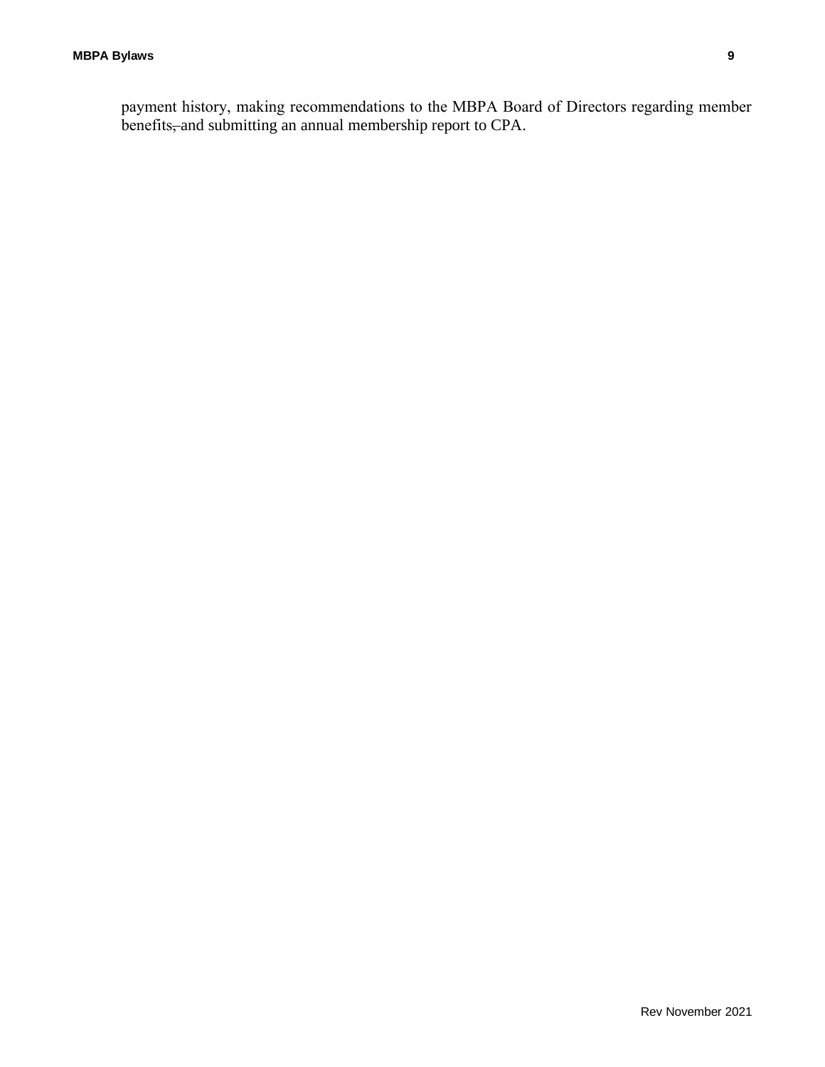payment history, making recommendations to the MBPA Board of Directors regarding member benefits, and submitting an annual membership report to CPA.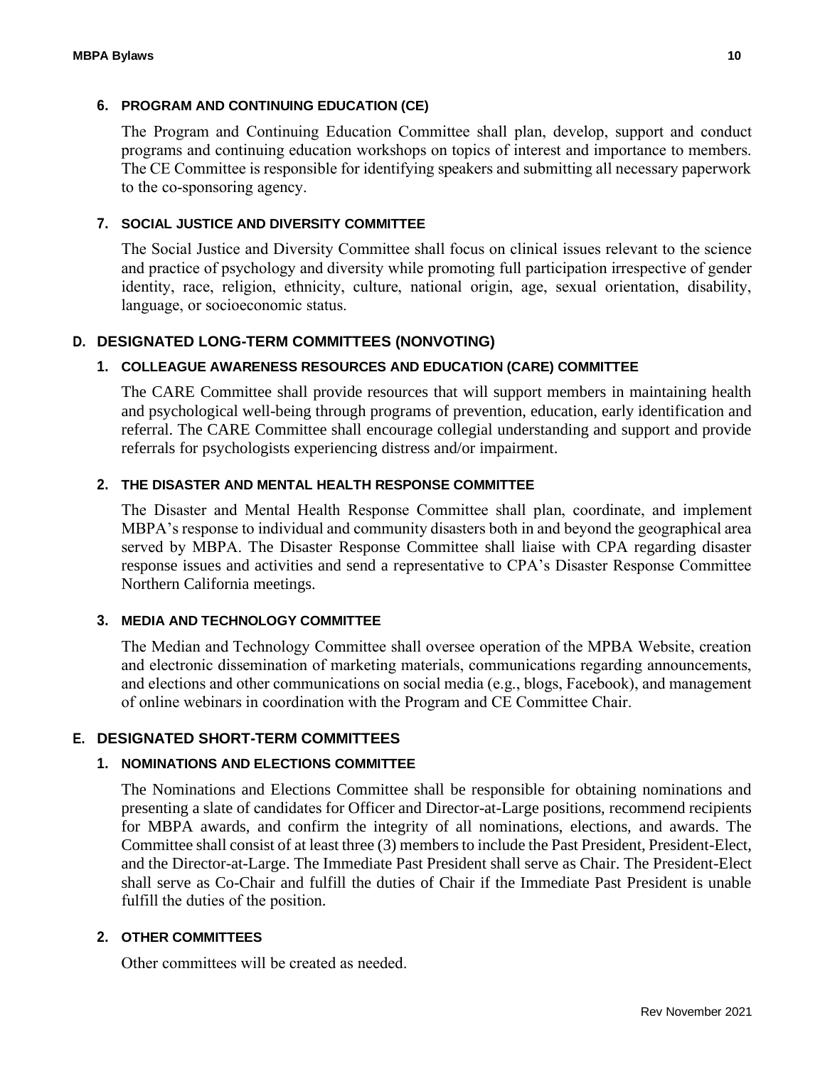## **6. PROGRAM AND CONTINUING EDUCATION (CE)**

The Program and Continuing Education Committee shall plan, develop, support and conduct programs and continuing education workshops on topics of interest and importance to members. The CE Committee is responsible for identifying speakers and submitting all necessary paperwork to the co-sponsoring agency.

## **7. SOCIAL JUSTICE AND DIVERSITY COMMITTEE**

The Social Justice and Diversity Committee shall focus on clinical issues relevant to the science and practice of psychology and diversity while promoting full participation irrespective of gender identity, race, religion, ethnicity, culture, national origin, age, sexual orientation, disability, language, or socioeconomic status.

## **D. DESIGNATED LONG-TERM COMMITTEES (NONVOTING)**

#### **1. COLLEAGUE AWARENESS RESOURCES AND EDUCATION (CARE) COMMITTEE**

The CARE Committee shall provide resources that will support members in maintaining health and psychological well-being through programs of prevention, education, early identification and referral. The CARE Committee shall encourage collegial understanding and support and provide referrals for psychologists experiencing distress and/or impairment.

#### **2. THE DISASTER AND MENTAL HEALTH RESPONSE COMMITTEE**

The Disaster and Mental Health Response Committee shall plan, coordinate, and implement MBPA's response to individual and community disasters both in and beyond the geographical area served by MBPA. The Disaster Response Committee shall liaise with CPA regarding disaster response issues and activities and send a representative to CPA's Disaster Response Committee Northern California meetings.

#### **3. MEDIA AND TECHNOLOGY COMMITTEE**

The Median and Technology Committee shall oversee operation of the MPBA Website, creation and electronic dissemination of marketing materials, communications regarding announcements, and elections and other communications on social media (e.g., blogs, Facebook), and management of online webinars in coordination with the Program and CE Committee Chair.

## **E. DESIGNATED SHORT-TERM COMMITTEES**

#### **1. NOMINATIONS AND ELECTIONS COMMITTEE**

The Nominations and Elections Committee shall be responsible for obtaining nominations and presenting a slate of candidates for Officer and Director-at-Large positions, recommend recipients for MBPA awards, and confirm the integrity of all nominations, elections, and awards. The Committee shall consist of at least three (3) members to include the Past President, President-Elect, and the Director-at-Large. The Immediate Past President shall serve as Chair. The President-Elect shall serve as Co-Chair and fulfill the duties of Chair if the Immediate Past President is unable fulfill the duties of the position.

#### **2. OTHER COMMITTEES**

Other committees will be created as needed.